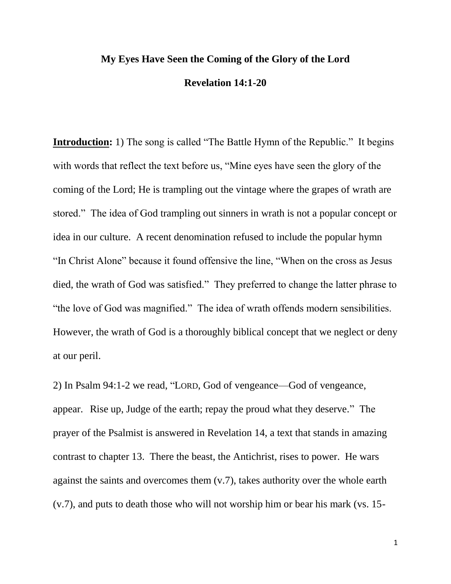## **My Eyes Have Seen the Coming of the Glory of the Lord Revelation 14:1-20**

**Introduction:** 1) The song is called "The Battle Hymn of the Republic." It begins with words that reflect the text before us, "Mine eyes have seen the glory of the coming of the Lord; He is trampling out the vintage where the grapes of wrath are stored." The idea of God trampling out sinners in wrath is not a popular concept or idea in our culture. A recent denomination refused to include the popular hymn "In Christ Alone" because it found offensive the line, "When on the cross as Jesus died, the wrath of God was satisfied." They preferred to change the latter phrase to "the love of God was magnified." The idea of wrath offends modern sensibilities. However, the wrath of God is a thoroughly biblical concept that we neglect or deny at our peril.

2) In Psalm 94:1-2 we read, "LORD, God of vengeance—God of vengeance, appear. Rise up, Judge of the earth; repay the proud what they deserve." The prayer of the Psalmist is answered in Revelation 14, a text that stands in amazing contrast to chapter 13. There the beast, the Antichrist, rises to power. He wars against the saints and overcomes them (v.7), takes authority over the whole earth (v.7), and puts to death those who will not worship him or bear his mark (vs. 15-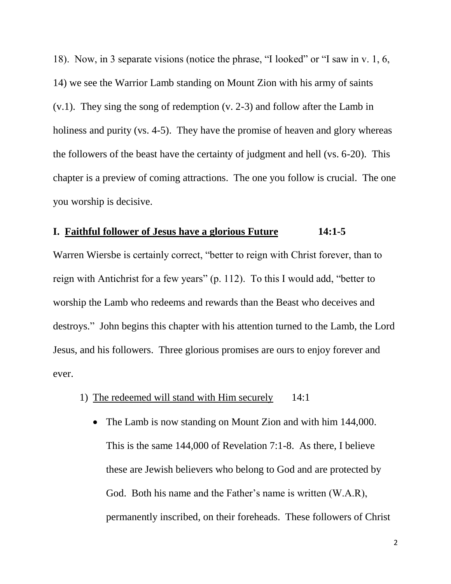18). Now, in 3 separate visions (notice the phrase, "I looked" or "I saw in v. 1, 6, 14) we see the Warrior Lamb standing on Mount Zion with his army of saints (v.1). They sing the song of redemption (v. 2-3) and follow after the Lamb in holiness and purity (vs. 4-5). They have the promise of heaven and glory whereas the followers of the beast have the certainty of judgment and hell (vs. 6-20). This chapter is a preview of coming attractions. The one you follow is crucial. The one you worship is decisive.

### **I. Faithful follower of Jesus have a glorious Future 14:1-5**

Warren Wiersbe is certainly correct, "better to reign with Christ forever, than to reign with Antichrist for a few years" (p. 112). To this I would add, "better to worship the Lamb who redeems and rewards than the Beast who deceives and destroys." John begins this chapter with his attention turned to the Lamb, the Lord Jesus, and his followers. Three glorious promises are ours to enjoy forever and ever.

- 1) The redeemed will stand with Him securely 14:1
	- The Lamb is now standing on Mount Zion and with him 144,000. This is the same 144,000 of Revelation 7:1-8. As there, I believe these are Jewish believers who belong to God and are protected by God. Both his name and the Father's name is written (W.A.R), permanently inscribed, on their foreheads. These followers of Christ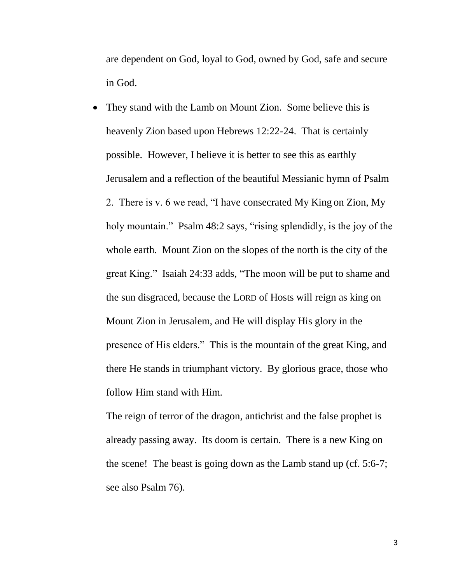are dependent on God, loyal to God, owned by God, safe and secure in God.

• They stand with the Lamb on Mount Zion. Some believe this is heavenly Zion based upon Hebrews 12:22-24. That is certainly possible. However, I believe it is better to see this as earthly Jerusalem and a reflection of the beautiful Messianic hymn of Psalm 2. There is v. 6 we read, "I have consecrated My King on Zion, My holy mountain." Psalm 48:2 says, "rising splendidly, is the joy of the whole earth. Mount Zion on the slopes of the north is the city of the great King." Isaiah 24:33 adds, "The moon will be put to shame and the sun disgraced, because the LORD of Hosts will reign as king on Mount Zion in Jerusalem, and He will display His glory in the presence of His elders." This is the mountain of the great King, and there He stands in triumphant victory. By glorious grace, those who follow Him stand with Him.

The reign of terror of the dragon, antichrist and the false prophet is already passing away. Its doom is certain. There is a new King on the scene! The beast is going down as the Lamb stand up (cf. 5:6-7; see also Psalm 76).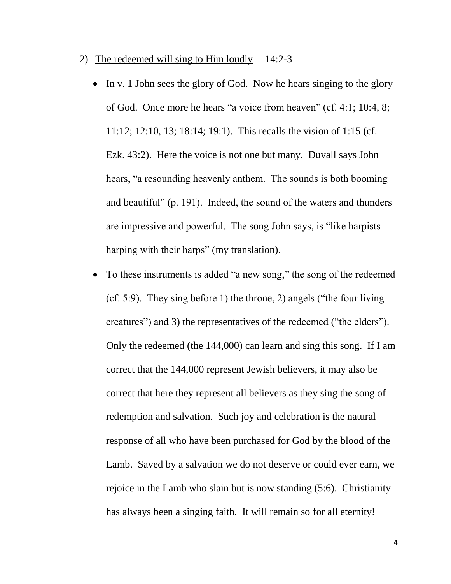- 2) The redeemed will sing to Him loudly 14:2-3
	- $\bullet$  In v. 1 John sees the glory of God. Now he hears singing to the glory of God. Once more he hears "a voice from heaven" (cf. 4:1; 10:4, 8; 11:12; 12:10, 13; 18:14; 19:1). This recalls the vision of 1:15 (cf. Ezk. 43:2). Here the voice is not one but many. Duvall says John hears, "a resounding heavenly anthem. The sounds is both booming and beautiful" (p. 191). Indeed, the sound of the waters and thunders are impressive and powerful. The song John says, is "like harpists harping with their harps" (my translation).
	- To these instruments is added "a new song," the song of the redeemed (cf. 5:9). They sing before 1) the throne, 2) angels ("the four living creatures") and 3) the representatives of the redeemed ("the elders"). Only the redeemed (the 144,000) can learn and sing this song. If I am correct that the 144,000 represent Jewish believers, it may also be correct that here they represent all believers as they sing the song of redemption and salvation. Such joy and celebration is the natural response of all who have been purchased for God by the blood of the Lamb. Saved by a salvation we do not deserve or could ever earn, we rejoice in the Lamb who slain but is now standing (5:6). Christianity has always been a singing faith. It will remain so for all eternity!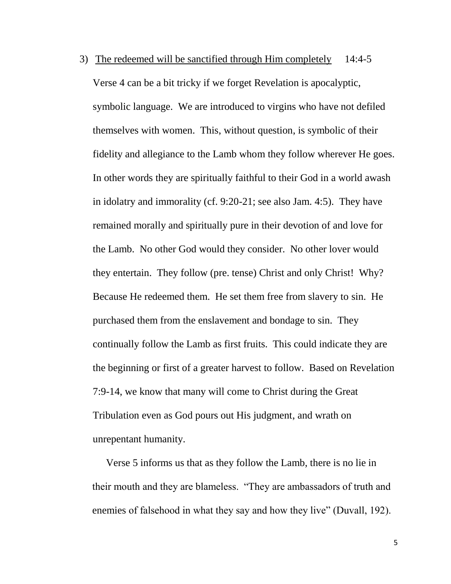3) The redeemed will be sanctified through Him completely 14:4-5 Verse 4 can be a bit tricky if we forget Revelation is apocalyptic, symbolic language. We are introduced to virgins who have not defiled themselves with women. This, without question, is symbolic of their fidelity and allegiance to the Lamb whom they follow wherever He goes. In other words they are spiritually faithful to their God in a world awash in idolatry and immorality (cf. 9:20-21; see also Jam. 4:5). They have remained morally and spiritually pure in their devotion of and love for the Lamb. No other God would they consider. No other lover would they entertain. They follow (pre. tense) Christ and only Christ! Why? Because He redeemed them. He set them free from slavery to sin. He purchased them from the enslavement and bondage to sin. They continually follow the Lamb as first fruits. This could indicate they are the beginning or first of a greater harvest to follow. Based on Revelation 7:9-14, we know that many will come to Christ during the Great Tribulation even as God pours out His judgment, and wrath on unrepentant humanity.

Verse 5 informs us that as they follow the Lamb, there is no lie in their mouth and they are blameless. "They are ambassadors of truth and enemies of falsehood in what they say and how they live" (Duvall, 192).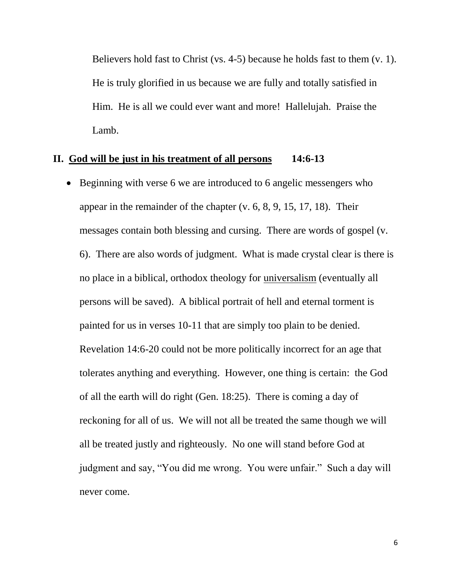Believers hold fast to Christ (vs. 4-5) because he holds fast to them (v. 1). He is truly glorified in us because we are fully and totally satisfied in Him. He is all we could ever want and more! Hallelujah. Praise the Lamb.

#### **II. God will be just in his treatment of all persons 14:6-13**

• Beginning with verse 6 we are introduced to 6 angelic messengers who appear in the remainder of the chapter (v. 6, 8, 9, 15, 17, 18). Their messages contain both blessing and cursing. There are words of gospel (v. 6). There are also words of judgment. What is made crystal clear is there is no place in a biblical, orthodox theology for universalism (eventually all persons will be saved). A biblical portrait of hell and eternal torment is painted for us in verses 10-11 that are simply too plain to be denied. Revelation 14:6-20 could not be more politically incorrect for an age that tolerates anything and everything. However, one thing is certain: the God of all the earth will do right (Gen. 18:25). There is coming a day of reckoning for all of us. We will not all be treated the same though we will all be treated justly and righteously. No one will stand before God at judgment and say, "You did me wrong. You were unfair." Such a day will never come.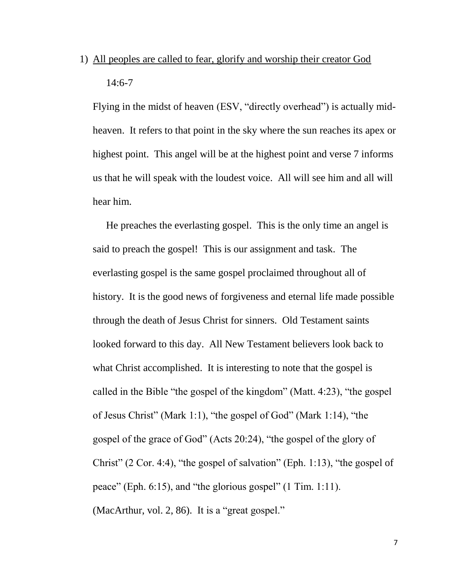1) All peoples are called to fear, glorify and worship their creator God 14:6-7

Flying in the midst of heaven (ESV, "directly overhead") is actually midheaven. It refers to that point in the sky where the sun reaches its apex or highest point. This angel will be at the highest point and verse 7 informs us that he will speak with the loudest voice. All will see him and all will hear him.

He preaches the everlasting gospel. This is the only time an angel is said to preach the gospel! This is our assignment and task. The everlasting gospel is the same gospel proclaimed throughout all of history. It is the good news of forgiveness and eternal life made possible through the death of Jesus Christ for sinners. Old Testament saints looked forward to this day. All New Testament believers look back to what Christ accomplished. It is interesting to note that the gospel is called in the Bible "the gospel of the kingdom" (Matt. 4:23), "the gospel of Jesus Christ" (Mark 1:1), "the gospel of God" (Mark 1:14), "the gospel of the grace of God" (Acts 20:24), "the gospel of the glory of Christ" (2 Cor. 4:4), "the gospel of salvation" (Eph. 1:13), "the gospel of peace" (Eph. 6:15), and "the glorious gospel" (1 Tim. 1:11). (MacArthur, vol. 2, 86). It is a "great gospel."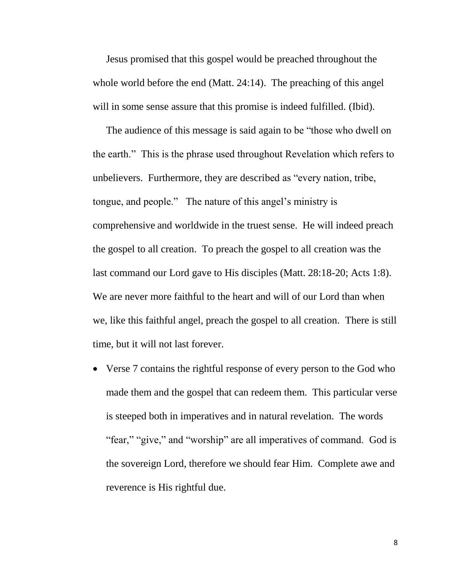Jesus promised that this gospel would be preached throughout the whole world before the end (Matt. 24:14). The preaching of this angel will in some sense assure that this promise is indeed fulfilled. (Ibid).

The audience of this message is said again to be "those who dwell on the earth." This is the phrase used throughout Revelation which refers to unbelievers. Furthermore, they are described as "every nation, tribe, tongue, and people." The nature of this angel's ministry is comprehensive and worldwide in the truest sense. He will indeed preach the gospel to all creation. To preach the gospel to all creation was the last command our Lord gave to His disciples (Matt. 28:18-20; Acts 1:8). We are never more faithful to the heart and will of our Lord than when we, like this faithful angel, preach the gospel to all creation. There is still time, but it will not last forever.

• Verse 7 contains the rightful response of every person to the God who made them and the gospel that can redeem them. This particular verse is steeped both in imperatives and in natural revelation. The words "fear," "give," and "worship" are all imperatives of command. God is the sovereign Lord, therefore we should fear Him. Complete awe and reverence is His rightful due.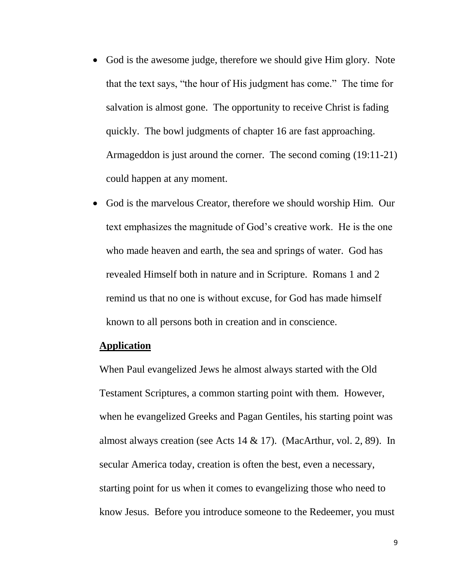- God is the awesome judge, therefore we should give Him glory. Note that the text says, "the hour of His judgment has come." The time for salvation is almost gone. The opportunity to receive Christ is fading quickly. The bowl judgments of chapter 16 are fast approaching. Armageddon is just around the corner. The second coming (19:11-21) could happen at any moment.
- God is the marvelous Creator, therefore we should worship Him. Our text emphasizes the magnitude of God's creative work. He is the one who made heaven and earth, the sea and springs of water. God has revealed Himself both in nature and in Scripture. Romans 1 and 2 remind us that no one is without excuse, for God has made himself known to all persons both in creation and in conscience.

### **Application**

When Paul evangelized Jews he almost always started with the Old Testament Scriptures, a common starting point with them. However, when he evangelized Greeks and Pagan Gentiles, his starting point was almost always creation (see Acts 14 & 17). (MacArthur, vol. 2, 89). In secular America today, creation is often the best, even a necessary, starting point for us when it comes to evangelizing those who need to know Jesus. Before you introduce someone to the Redeemer, you must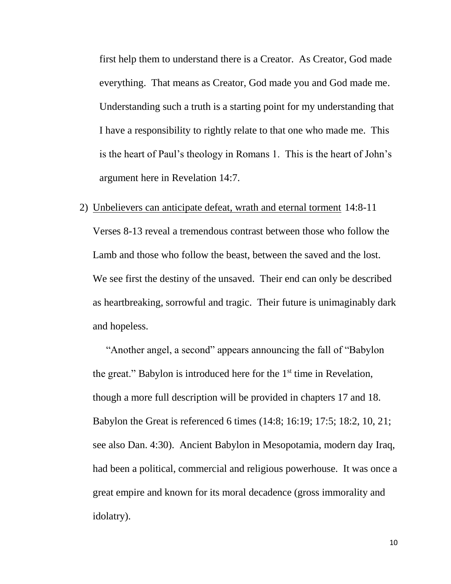first help them to understand there is a Creator. As Creator, God made everything. That means as Creator, God made you and God made me. Understanding such a truth is a starting point for my understanding that I have a responsibility to rightly relate to that one who made me. This is the heart of Paul's theology in Romans 1. This is the heart of John's argument here in Revelation 14:7.

2) Unbelievers can anticipate defeat, wrath and eternal torment 14:8-11 Verses 8-13 reveal a tremendous contrast between those who follow the Lamb and those who follow the beast, between the saved and the lost. We see first the destiny of the unsaved. Their end can only be described as heartbreaking, sorrowful and tragic. Their future is unimaginably dark and hopeless.

"Another angel, a second" appears announcing the fall of "Babylon the great." Babylon is introduced here for the  $1<sup>st</sup>$  time in Revelation, though a more full description will be provided in chapters 17 and 18. Babylon the Great is referenced 6 times (14:8; 16:19; 17:5; 18:2, 10, 21; see also Dan. 4:30). Ancient Babylon in Mesopotamia, modern day Iraq, had been a political, commercial and religious powerhouse. It was once a great empire and known for its moral decadence (gross immorality and idolatry).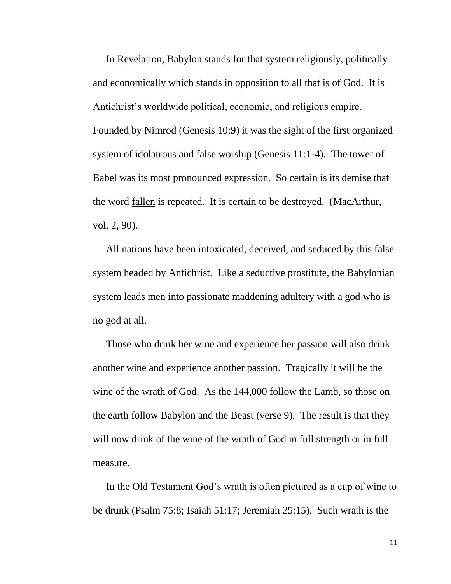In Revelation, Babylon stands for that system religiously, politically and economically which stands in opposition to all that is of God. It is Antichrist's worldwide political, economic, and religious empire. Founded by Nimrod (Genesis 10:9) it was the sight of the first organized system of idolatrous and false worship (Genesis 11:1-4). The tower of Babel was its most pronounced expression. So certain is its demise that the word fallen is repeated. It is certain to be destroyed. (MacArthur, vol. 2, 90).

All nations have been intoxicated, deceived, and seduced by this false system headed by Antichrist. Like a seductive prostitute, the Babylonian system leads men into passionate maddening adultery with a god who is no god at all.

Those who drink her wine and experience her passion will also drink another wine and experience another passion. Tragically it will be the wine of the wrath of God. As the 144,000 follow the Lamb, so those on the earth follow Babylon and the Beast (verse 9). The result is that they will now drink of the wine of the wrath of God in full strength or in full measure.

In the Old Testament God's wrath is often pictured as a cup of wine to be drunk (Psalm 75:8; Isaiah 51:17; Jeremiah 25:15). Such wrath is the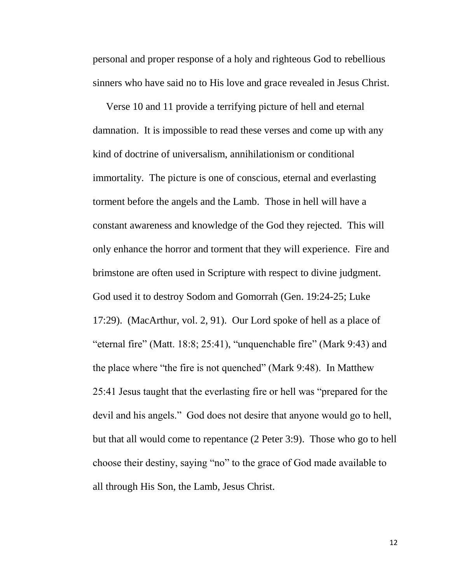personal and proper response of a holy and righteous God to rebellious sinners who have said no to His love and grace revealed in Jesus Christ.

Verse 10 and 11 provide a terrifying picture of hell and eternal damnation. It is impossible to read these verses and come up with any kind of doctrine of universalism, annihilationism or conditional immortality. The picture is one of conscious, eternal and everlasting torment before the angels and the Lamb. Those in hell will have a constant awareness and knowledge of the God they rejected. This will only enhance the horror and torment that they will experience. Fire and brimstone are often used in Scripture with respect to divine judgment. God used it to destroy Sodom and Gomorrah (Gen. 19:24-25; Luke 17:29). (MacArthur, vol. 2, 91). Our Lord spoke of hell as a place of "eternal fire" (Matt. 18:8; 25:41), "unquenchable fire" (Mark 9:43) and the place where "the fire is not quenched" (Mark 9:48). In Matthew 25:41 Jesus taught that the everlasting fire or hell was "prepared for the devil and his angels." God does not desire that anyone would go to hell, but that all would come to repentance (2 Peter 3:9). Those who go to hell choose their destiny, saying "no" to the grace of God made available to all through His Son, the Lamb, Jesus Christ.

12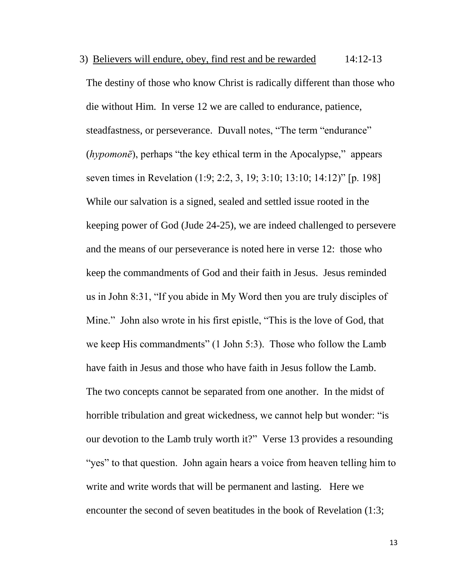3) Believers will endure, obey, find rest and be rewarded 14:12-13 The destiny of those who know Christ is radically different than those who die without Him. In verse 12 we are called to endurance, patience, steadfastness, or perseverance. Duvall notes, "The term "endurance" (*hypomonē*), perhaps "the key ethical term in the Apocalypse," appears seven times in Revelation (1:9; 2:2, 3, 19; 3:10; 13:10; 14:12)" [p. 198] While our salvation is a signed, sealed and settled issue rooted in the keeping power of God (Jude 24-25), we are indeed challenged to persevere and the means of our perseverance is noted here in verse 12: those who keep the commandments of God and their faith in Jesus. Jesus reminded us in John 8:31, "If you abide in My Word then you are truly disciples of Mine." John also wrote in his first epistle, "This is the love of God, that we keep His commandments" (1 John 5:3). Those who follow the Lamb have faith in Jesus and those who have faith in Jesus follow the Lamb. The two concepts cannot be separated from one another. In the midst of horrible tribulation and great wickedness, we cannot help but wonder: "is our devotion to the Lamb truly worth it?" Verse 13 provides a resounding "yes" to that question. John again hears a voice from heaven telling him to write and write words that will be permanent and lasting. Here we encounter the second of seven beatitudes in the book of Revelation (1:3;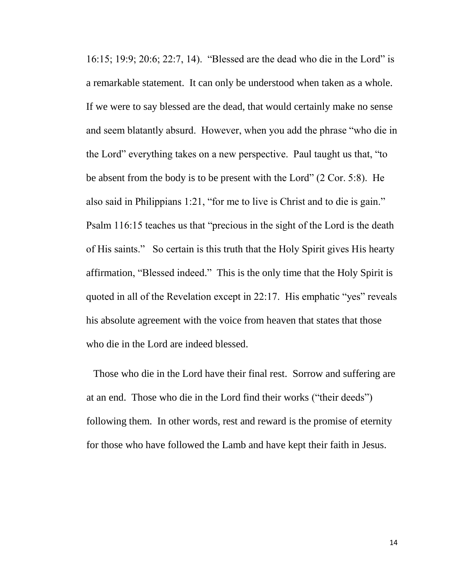16:15; 19:9; 20:6; 22:7, 14). "Blessed are the dead who die in the Lord" is a remarkable statement. It can only be understood when taken as a whole. If we were to say blessed are the dead, that would certainly make no sense and seem blatantly absurd. However, when you add the phrase "who die in the Lord" everything takes on a new perspective. Paul taught us that, "to be absent from the body is to be present with the Lord" (2 Cor. 5:8). He also said in Philippians 1:21, "for me to live is Christ and to die is gain." Psalm 116:15 teaches us that "precious in the sight of the Lord is the death of His saints." So certain is this truth that the Holy Spirit gives His hearty affirmation, "Blessed indeed." This is the only time that the Holy Spirit is quoted in all of the Revelation except in 22:17. His emphatic "yes" reveals his absolute agreement with the voice from heaven that states that those who die in the Lord are indeed blessed.

Those who die in the Lord have their final rest. Sorrow and suffering are at an end. Those who die in the Lord find their works ("their deeds") following them. In other words, rest and reward is the promise of eternity for those who have followed the Lamb and have kept their faith in Jesus.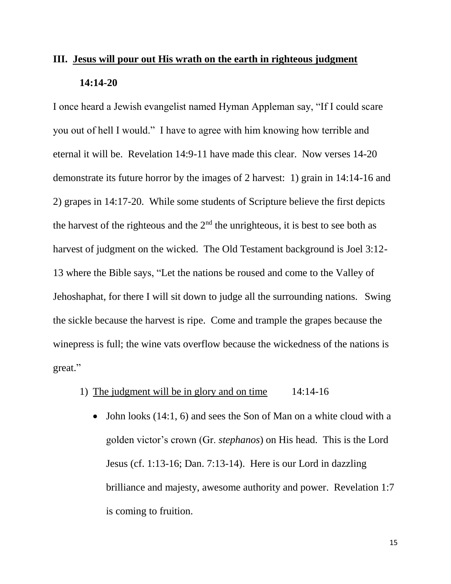# **III. Jesus will pour out His wrath on the earth in righteous judgment 14:14-20**

I once heard a Jewish evangelist named Hyman Appleman say, "If I could scare you out of hell I would." I have to agree with him knowing how terrible and eternal it will be. Revelation 14:9-11 have made this clear. Now verses 14-20 demonstrate its future horror by the images of 2 harvest: 1) grain in 14:14-16 and 2) grapes in 14:17-20. While some students of Scripture believe the first depicts the harvest of the righteous and the  $2<sup>nd</sup>$  the unrighteous, it is best to see both as harvest of judgment on the wicked. The Old Testament background is Joel 3:12- 13 where the Bible says, "Let the nations be roused and come to the Valley of Jehoshaphat, for there I will sit down to judge all the surrounding nations. Swing the sickle because the harvest is ripe. Come and trample the grapes because the winepress is full; the wine vats overflow because the wickedness of the nations is great."

- 1) The judgment will be in glory and on time 14:14-16
	- John looks (14:1, 6) and sees the Son of Man on a white cloud with a golden victor's crown (Gr. *stephanos*) on His head. This is the Lord Jesus (cf. 1:13-16; Dan. 7:13-14). Here is our Lord in dazzling brilliance and majesty, awesome authority and power. Revelation 1:7 is coming to fruition.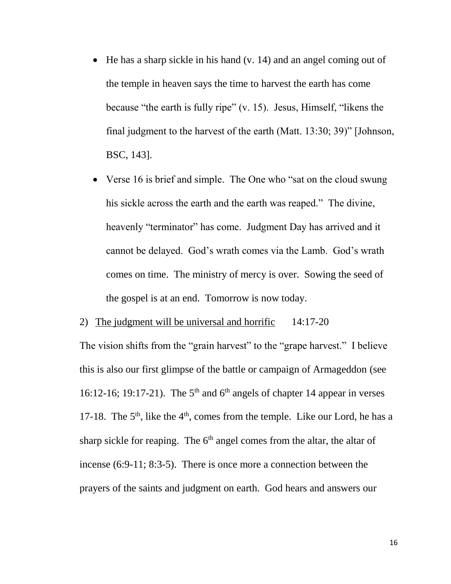- $\bullet$  He has a sharp sickle in his hand (v. 14) and an angel coming out of the temple in heaven says the time to harvest the earth has come because "the earth is fully ripe" (v. 15). Jesus, Himself, "likens the final judgment to the harvest of the earth (Matt. 13:30; 39)" [Johnson, BSC, 143].
- Verse 16 is brief and simple. The One who "sat on the cloud swung his sickle across the earth and the earth was reaped." The divine, heavenly "terminator" has come. Judgment Day has arrived and it cannot be delayed. God's wrath comes via the Lamb. God's wrath comes on time. The ministry of mercy is over. Sowing the seed of the gospel is at an end. Tomorrow is now today.

2) The judgment will be universal and horrific 14:17-20

The vision shifts from the "grain harvest" to the "grape harvest." I believe this is also our first glimpse of the battle or campaign of Armageddon (see 16:12-16; 19:17-21). The  $5<sup>th</sup>$  and  $6<sup>th</sup>$  angels of chapter 14 appear in verses 17-18. The  $5<sup>th</sup>$ , like the  $4<sup>th</sup>$ , comes from the temple. Like our Lord, he has a sharp sickle for reaping. The  $6<sup>th</sup>$  angel comes from the altar, the altar of incense (6:9-11; 8:3-5). There is once more a connection between the prayers of the saints and judgment on earth. God hears and answers our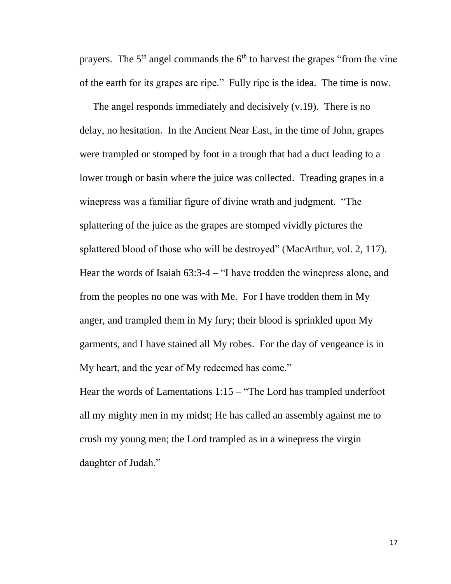prayers. The  $5<sup>th</sup>$  angel commands the  $6<sup>th</sup>$  to harvest the grapes "from the vine" of the earth for its grapes are ripe." Fully ripe is the idea. The time is now.

The angel responds immediately and decisively (v.19). There is no delay, no hesitation. In the Ancient Near East, in the time of John, grapes were trampled or stomped by foot in a trough that had a duct leading to a lower trough or basin where the juice was collected. Treading grapes in a winepress was a familiar figure of divine wrath and judgment. "The splattering of the juice as the grapes are stomped vividly pictures the splattered blood of those who will be destroyed" (MacArthur, vol. 2, 117). Hear the words of Isaiah 63:3-4 – "I have trodden the winepress alone, and from the peoples no one was with Me. For I have trodden them in My anger, and trampled them in My fury; their blood is sprinkled upon My garments, and I have stained all My robes. For the day of vengeance is in My heart, and the year of My redeemed has come."

Hear the words of Lamentations 1:15 – "The Lord has trampled underfoot all my mighty men in my midst; He has called an assembly against me to crush my young men; the Lord trampled as in a winepress the virgin daughter of Judah."

17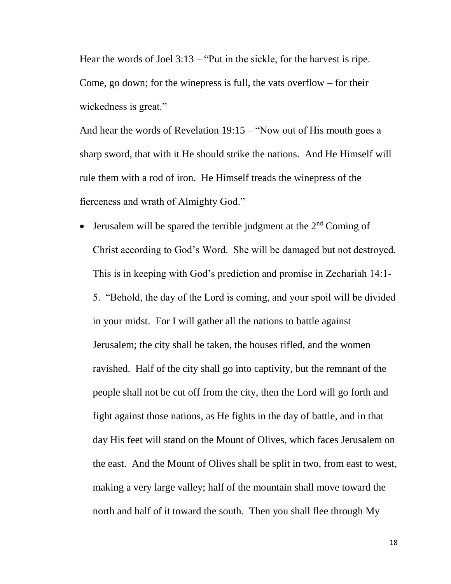Hear the words of Joel 3:13 – "Put in the sickle, for the harvest is ripe. Come, go down; for the winepress is full, the vats overflow  $-$  for their wickedness is great."

And hear the words of Revelation 19:15 – "Now out of His mouth goes a sharp sword, that with it He should strike the nations. And He Himself will rule them with a rod of iron. He Himself treads the winepress of the fierceness and wrath of Almighty God."

• Jerusalem will be spared the terrible judgment at the  $2<sup>nd</sup>$  Coming of Christ according to God's Word. She will be damaged but not destroyed. This is in keeping with God's prediction and promise in Zechariah 14:1- 5. "Behold, the day of the Lord is coming, and your spoil will be divided in your midst. For I will gather all the nations to battle against Jerusalem; the city shall be taken, the houses rifled, and the women ravished. Half of the city shall go into captivity, but the remnant of the people shall not be cut off from the city, then the Lord will go forth and fight against those nations, as He fights in the day of battle, and in that day His feet will stand on the Mount of Olives, which faces Jerusalem on the east. And the Mount of Olives shall be split in two, from east to west, making a very large valley; half of the mountain shall move toward the north and half of it toward the south. Then you shall flee through My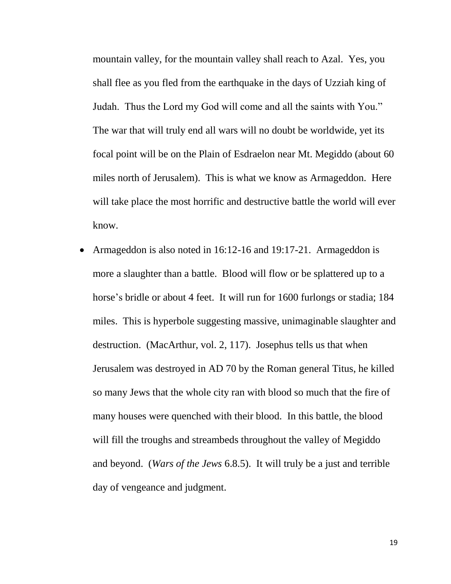mountain valley, for the mountain valley shall reach to Azal. Yes, you shall flee as you fled from the earthquake in the days of Uzziah king of Judah. Thus the Lord my God will come and all the saints with You." The war that will truly end all wars will no doubt be worldwide, yet its focal point will be on the Plain of Esdraelon near Mt. Megiddo (about 60 miles north of Jerusalem). This is what we know as Armageddon. Here will take place the most horrific and destructive battle the world will ever know.

 Armageddon is also noted in 16:12-16 and 19:17-21. Armageddon is more a slaughter than a battle. Blood will flow or be splattered up to a horse's bridle or about 4 feet. It will run for 1600 furlongs or stadia; 184 miles. This is hyperbole suggesting massive, unimaginable slaughter and destruction. (MacArthur, vol. 2, 117). Josephus tells us that when Jerusalem was destroyed in AD 70 by the Roman general Titus, he killed so many Jews that the whole city ran with blood so much that the fire of many houses were quenched with their blood. In this battle, the blood will fill the troughs and streambeds throughout the valley of Megiddo and beyond. (*Wars of the Jews* 6.8.5). It will truly be a just and terrible day of vengeance and judgment.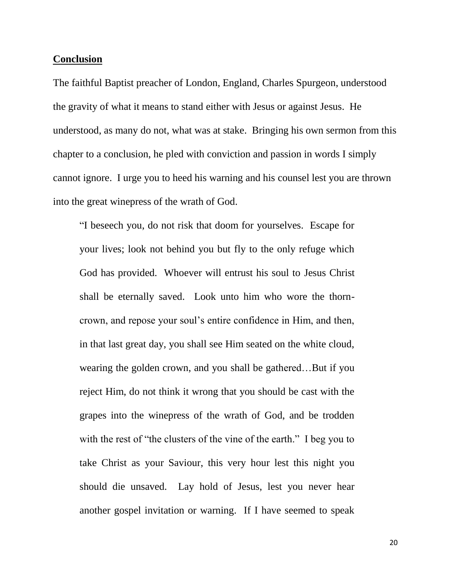#### **Conclusion**

The faithful Baptist preacher of London, England, Charles Spurgeon, understood the gravity of what it means to stand either with Jesus or against Jesus. He understood, as many do not, what was at stake. Bringing his own sermon from this chapter to a conclusion, he pled with conviction and passion in words I simply cannot ignore. I urge you to heed his warning and his counsel lest you are thrown into the great winepress of the wrath of God.

"I beseech you, do not risk that doom for yourselves. Escape for your lives; look not behind you but fly to the only refuge which God has provided. Whoever will entrust his soul to Jesus Christ shall be eternally saved. Look unto him who wore the thorncrown, and repose your soul's entire confidence in Him, and then, in that last great day, you shall see Him seated on the white cloud, wearing the golden crown, and you shall be gathered…But if you reject Him, do not think it wrong that you should be cast with the grapes into the winepress of the wrath of God, and be trodden with the rest of "the clusters of the vine of the earth." I beg you to take Christ as your Saviour, this very hour lest this night you should die unsaved. Lay hold of Jesus, lest you never hear another gospel invitation or warning. If I have seemed to speak